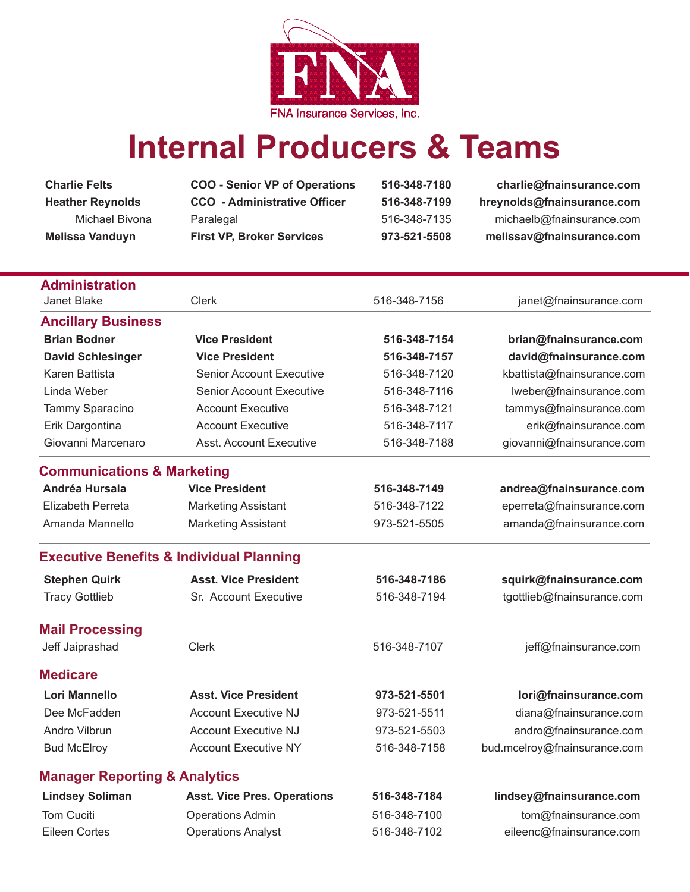

## **Internal Producers & Teams**

**Charlie Felts COO - Senior VP of Operations 516-348-7180 charlie@fnainsurance.com**

**Heather Reynolds CCO - Administrative Officer 516-348-7199 hreynolds@fnainsurance.com** Michael Bivona Paralegal 516-348-7135 michaelb@fnainsurance.com **Melissa Vanduyn First VP, Broker Services 973-521-5508 melissav@fnainsurance.com**

| <b>Administration</b>                    |                                                     |              |                              |
|------------------------------------------|-----------------------------------------------------|--------------|------------------------------|
| Janet Blake                              | <b>Clerk</b>                                        | 516-348-7156 | janet@fnainsurance.com       |
| <b>Ancillary Business</b>                |                                                     |              |                              |
| <b>Brian Bodner</b>                      | <b>Vice President</b>                               | 516-348-7154 | brian@fnainsurance.com       |
| <b>David Schlesinger</b>                 | <b>Vice President</b>                               | 516-348-7157 | david@fnainsurance.com       |
| Karen Battista                           | <b>Senior Account Executive</b>                     | 516-348-7120 | kbattista@fnainsurance.com   |
| Linda Weber                              | <b>Senior Account Executive</b>                     | 516-348-7116 | lweber@fnainsurance.com      |
| Tammy Sparacino                          | <b>Account Executive</b>                            | 516-348-7121 | tammys@fnainsurance.com      |
| Erik Dargontina                          | <b>Account Executive</b>                            | 516-348-7117 | erik@fnainsurance.com        |
| Giovanni Marcenaro                       | <b>Asst. Account Executive</b>                      | 516-348-7188 | giovanni@fnainsurance.com    |
| <b>Communications &amp; Marketing</b>    |                                                     |              |                              |
| Andréa Hursala                           | <b>Vice President</b>                               | 516-348-7149 | andrea@fnainsurance.com      |
| <b>Elizabeth Perreta</b>                 | <b>Marketing Assistant</b>                          | 516-348-7122 | eperreta@fnainsurance.com    |
| Amanda Mannello                          | <b>Marketing Assistant</b>                          | 973-521-5505 | amanda@fnainsurance.com      |
|                                          | <b>Executive Benefits &amp; Individual Planning</b> |              |                              |
| <b>Stephen Quirk</b>                     | <b>Asst. Vice President</b>                         | 516-348-7186 | squirk@fnainsurance.com      |
| <b>Tracy Gottlieb</b>                    | Sr. Account Executive                               | 516-348-7194 | tgottlieb@fnainsurance.com   |
| <b>Mail Processing</b>                   |                                                     |              |                              |
| Jeff Jaiprashad                          | Clerk                                               | 516-348-7107 | jeff@fnainsurance.com        |
| <b>Medicare</b>                          |                                                     |              |                              |
| Lori Mannello                            | <b>Asst. Vice President</b>                         | 973-521-5501 | lori@fnainsurance.com        |
| Dee McFadden                             | <b>Account Executive NJ</b>                         | 973-521-5511 | diana@fnainsurance.com       |
| Andro Vilbrun                            | <b>Account Executive NJ</b>                         | 973-521-5503 | andro@fnainsurance.com       |
| <b>Bud McElroy</b>                       | <b>Account Executive NY</b>                         | 516-348-7158 | bud.mcelroy@fnainsurance.com |
| <b>Manager Reporting &amp; Analytics</b> |                                                     |              |                              |
| <b>Lindsey Soliman</b>                   | <b>Asst. Vice Pres. Operations</b>                  | 516-348-7184 | lindsey@fnainsurance.com     |
| <b>Tom Cuciti</b>                        | <b>Operations Admin</b>                             | 516-348-7100 | tom@fnainsurance.com         |
| <b>Eileen Cortes</b>                     | <b>Operations Analyst</b>                           | 516-348-7102 | eileenc@fnainsurance.com     |